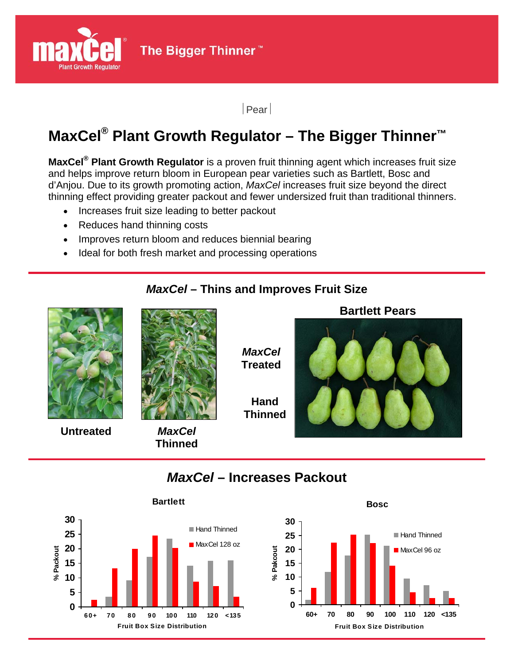

The Bigger Thinner<sup>™</sup>

| Pear

# **MaxCel® Plant Growth Regulator – The Bigger Thinner™**

**MaxCel® Plant Growth Regulator** is a proven fruit thinning agent which increases fruit size and helps improve return bloom in European pear varieties such as Bartlett, Bosc and d'Anjou. Due to its growth promoting action, *MaxCel* increases fruit size beyond the direct thinning effect providing greater packout and fewer undersized fruit than traditional thinners.

- Increases fruit size leading to better packout
- Reduces hand thinning costs
- Improves return bloom and reduces biennial bearing
- Ideal for both fresh market and processing operations

#### *MaxCel* **– Thins and Improves Fruit Size**



## *MaxCel* **– Increases Packout**